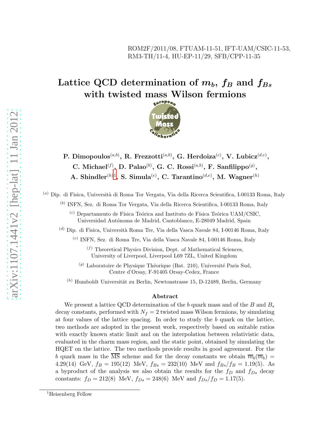### ROM2F/2011/08, FTUAM-11-51, IFT-UAM/CSIC-11-53, RM3-TH/11-4, HU-EP-11/29, SFB/CPP-11-35

# Lattice QCD determination of  $m_b$ ,  $f_B$  and  $f_{Bs}$ with twisted mass Wilson fermions



P. Dimopoulos $^{(a,b)},$  R. Frezzotti $^{(a,b)},$  G. Herdoiza $^{(c)},$  V. Lubicz $^{(d,e)},$ C. Michael<sup>(f)</sup>, D. Palao<sup>(b)</sup>, G. C. Rossi<sup>(a,b)</sup>, F. Sanfilippo<sup>(g)</sup>, A. Shindler ${}^{(h)1}$  ${}^{(h)1}$  ${}^{(h)1}$ , S. Simula ${}^{(e)}$ , C. Tarantino ${}^{(d,e)}$ , M. Wagner ${}^{(h)}$ 

 $(a)$  Dip. di Fisica, Università di Roma Tor Vergata, Via della Ricerca Scientifica, I-00133 Roma, Italy

(b) INFN, Sez. di Roma Tor Vergata, Via della Ricerca Scientifica, I-00133 Roma, Italy

 $\alpha$ <sup>(c)</sup> Departamento de Física Teórica and Instituto de Física Teórica UAM/CSIC, Universidad Autónoma de Madrid, Cantoblanco, E-28049 Madrid, Spain

 $^{(d)}$  Dip. di Fisica, Università Roma Tre, Via della Vasca Navale 84, I-00146 Roma, Italy

(e) INFN, Sez. di Roma Tre, Via della Vasca Navale 84, I-00146 Roma, Italy

 $(f)$  Theoretical Physics Division, Dept. of Mathematical Sciences, University of Liverpool, Liverpool L69 7ZL, United Kingdom

 $(g)$  Laboratoire de Physique Théorique (Bat. 210), Université Paris Sud, Centre d'Orsay, F-91405 Orsay-Cedex, France

 $(h)$  Humboldt Universität zu Berlin, Newtonstrasse 15, D-12489, Berlin, Germany

#### Abstract

We present a lattice QCD determination of the b quark mass and of the B and  $B_s$ decay constants, performed with  $N_f = 2$  twisted mass Wilson fermions, by simulating at four values of the lattice spacing. In order to study the b quark on the lattice, two methods are adopted in the present work, respectively based on suitable ratios with exactly known static limit and on the interpolation between relativistic data, evaluated in the charm mass region, and the static point, obtained by simulating the HQET on the lattice. The two methods provide results in good agreement. For the b quark mass in the MS scheme and for the decay constants we obtain  $\overline{m}_b(\overline{m}_b)$  = 4.29(14) GeV,  $f_B = 195(12)$  MeV,  $f_{Bs} = 232(10)$  MeV and  $f_{Bs}/f_B = 1.19(5)$ . As a byproduct of the analysis we also obtain the results for the  $f_D$  and  $f_{Ds}$  decay constants:  $f_D = 212(8) \text{ MeV}, f_{Ds} = 248(6) \text{ MeV}$  and  $f_{Ds}/f_D = 1.17(5)$ .

<span id="page-0-0"></span><sup>&</sup>lt;sup>1</sup>Heisenberg Fellow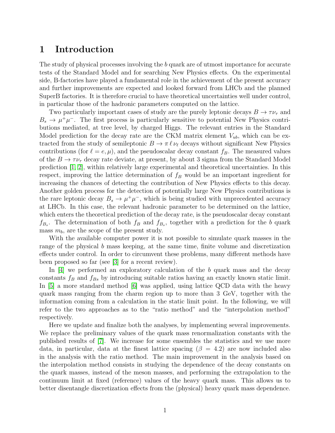# 1 Introduction

The study of physical processes involving the b quark are of utmost importance for accurate tests of the Standard Model and for searching New Physics effects. On the experimental side, B-factories have played a fundamental role in the achievement of the present accuracy and further improvements are expected and looked forward from LHCb and the planned SuperB factories. It is therefore crucial to have theoretical uncertainties well under control, in particular those of the hadronic parameters computed on the lattice.

Two particularly important cases of study are the purely leptonic decays  $B \to \tau \nu_{\tau}$  and  $B_s \to \mu^+\mu^-$ . The first process is particularly sensitive to potential New Physics contributions mediated, at tree level, by charged Higgs. The relevant entries in the Standard Model prediction for the decay rate are the CKM matrix element  $V_{ub}$ , which can be extracted from the study of semileptonic  $B \to \pi \ell \nu_{\ell}$  decays without significant New Physics contributions (for  $\ell = e, \mu$ ), and the pseudoscalar decay constant  $f_B$ . The measured values of the  $B \to \tau \nu_{\tau}$  decay rate deviate, at present, by about 3 sigma from the Standard Model prediction [\[1,](#page-20-0) [2\]](#page-20-1), within relatively large experimental and theoretical uncertainties. In this respect, improving the lattice determination of  $f_B$  would be an important ingredient for increasing the chances of detecting the contribution of New Physics effects to this decay. Another golden process for the detection of potentially large New Physics contributions is the rare leptonic decay  $B_s \to \mu^+ \mu^-$ , which is being studied with unprecedented accuracy at LHCb. In this case, the relevant hadronic parameter to be determined on the lattice, which enters the theoretical prediction of the decay rate, is the pseudoscalar decay constant  $f_{B_s}$ . The determination of both  $f_B$  and  $f_{B_s}$ , together with a prediction for the b quark mass  $m_b$ , are the scope of the present study.

With the available computer power it is not possible to simulate quark masses in the range of the physical b mass keeping, at the same time, finite volume and discretization effects under control. In order to circumvent these problems, many different methods have been proposed so far (see [\[3\]](#page-20-2) for a recent review).

In [\[4\]](#page-20-3) we performed an exploratory calculation of the b quark mass and the decay constants  $f_B$  and  $f_{Bs}$  by introducing suitable ratios having an exactly known static limit. In [\[5\]](#page-21-0) a more standard method [\[6\]](#page-21-1) was applied, using lattice QCD data with the heavy quark mass ranging from the charm region up to more than 3 GeV, together with the information coming from a calculation in the static limit point. In the following, we will refer to the two approaches as to the "ratio method" and the "interpolation method" respectively.

Here we update and finalize both the analyses, by implementing several improvements. We replace the preliminary values of the quark mass renormalization constants with the published results of [\[7\]](#page-21-2). We increase for some ensembles the statistics and we use more data, in particular, data at the finest lattice spacing ( $\beta = 4.2$ ) are now included also in the analysis with the ratio method. The main improvement in the analysis based on the interpolation method consists in studying the dependence of the decay constants on the quark masses, instead of the meson masses, and performing the extrapolation to the continuum limit at fixed (reference) values of the heavy quark mass. This allows us to better disentangle discretization effects from the (physical) heavy quark mass dependence.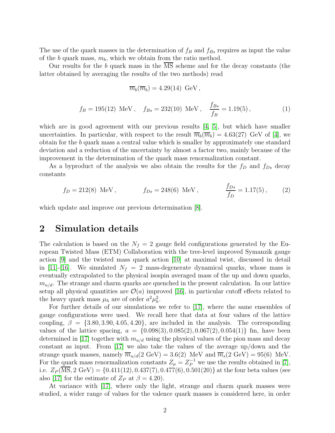The use of the quark masses in the determination of  $f_B$  and  $f_{Bs}$  requires as input the value of the b quark mass,  $m_b$ , which we obtain from the ratio method.

Our results for the b quark mass in the MS scheme and for the decay constants (the latter obtained by averaging the results of the two methods) read

$$
\overline{m}_b(\overline{m}_b) = 4.29(14) \text{ GeV},
$$

$$
f_B = 195(12)
$$
 MeV,  $f_{Bs} = 232(10)$  MeV,  $\frac{f_{Bs}}{f_B} = 1.19(5)$ , (1)

which are in good agreement with our previous results  $[4, 5]$  $[4, 5]$ , but which have smaller uncertainties. In particular, with respect to the result  $\overline{m}_b(\overline{m}_b) = 4.63(27)$  GeV of [\[4\]](#page-20-3), we obtain for the b quark mass a central value which is smaller by approximately one standard deviation and a reduction of the uncertainty by almost a factor two, mainly because of the improvement in the determination of the quark mass renormalization constant.

As a byproduct of the analysis we also obtain the results for the  $f_D$  and  $f_{Ds}$  decay constants

$$
f_D = 212(8)
$$
 MeV,  $f_{Ds} = 248(6)$  MeV,  $\frac{f_{Ds}}{f_D} = 1.17(5)$ , (2)

which update and improve our previous determination [\[8\]](#page-21-3).

# 2 Simulation details

The calculation is based on the  $N_f = 2$  gauge field configurations generated by the European Twisted Mass (ETM) Collaboration with the tree-level improved Symanzik gauge action [\[9\]](#page-21-4) and the twisted mass quark action [\[10\]](#page-21-5) at maximal twist, discussed in detail in [\[11\]](#page-21-6)-[\[16\]](#page-22-0). We simulated  $N_f = 2$  mass-degenerate dynamical quarks, whose mass is eventually extrapolated to the physical isospin averaged mass of the up and down quarks,  $m_{u/d}$ . The strange and charm quarks are quenched in the present calculation. In our lattice setup all physical quantities are  $\mathcal{O}(a)$  improved [\[16\]](#page-22-0), in particular cutoff effects related to the heavy quark mass  $\mu_h$  are of order  $a^2\mu_h^2$ .

For further details of our simulations we refer to [\[17\]](#page-22-1), where the same ensembles of gauge configurations were used. We recall here that data at four values of the lattice coupling,  $\beta = \{3.80, 3.90, 4.05, 4.20\}$ , are included in the analysis. The corresponding values of the lattice spacing,  $a = \{0.098(3), 0.085(2), 0.067(2), 0.054(1)\}\$  fm, have been determined in [\[17\]](#page-22-1) together with  $m_{u/d}$  using the physical values of the pion mass and decay constant as input. From [\[17\]](#page-22-1) we also take the values of the average up/down and the strange quark masses, namely  $\overline{m}_{u/d}(2 \text{ GeV}) = 3.6(2) \text{ MeV}$  and  $\overline{m}_s(2 \text{ GeV}) = 95(6) \text{ MeV}$ . For the quark mass renormalization constants  $Z_{\mu} = Z_P^{-1}$  we use the results obtained in [\[7\]](#page-21-2), i.e.  $Z_P(\overline{\text{MS}}, 2 \text{ GeV}) = \{0.411(12), 0.437(7), 0.477(6), 0.501(20)\}\$ at the four beta values (see also [\[17\]](#page-22-1) for the estimate of  $Z_P$  at  $\beta = 4.20$ ).

At variance with [\[17\]](#page-22-1), where only the light, strange and charm quark masses were studied, a wider range of values for the valence quark masses is considered here, in order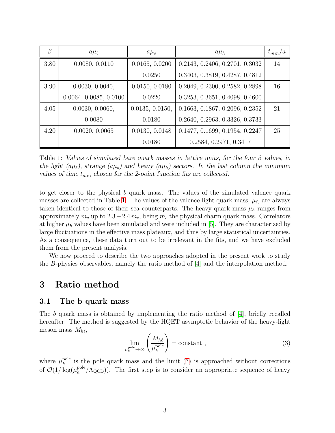|      | $a\mu_{\ell}$          | $a\mu_s$        | $a\mu_h$                       | $t_{min}/a$ |
|------|------------------------|-----------------|--------------------------------|-------------|
| 3.80 | 0.0080, 0.0110         | 0.0165, 0.0200  | 0.2143, 0.2406, 0.2701, 0.3032 | 14          |
|      |                        | 0.0250          | 0.3403, 0.3819, 0.4287, 0.4812 |             |
| 3.90 | 0.0030, 0.0040,        | 0.0150, 0.0180  | 0.2049, 0.2300, 0.2582, 0.2898 | 16          |
|      | 0.0064, 0.0085, 0.0100 | 0.0220          | 0.3253, 0.3651, 0.4098, 0.4600 |             |
| 4.05 | 0.0030, 0.0060,        | 0.0135, 0.0150, | 0.1663, 0.1867, 0.2096, 0.2352 | 21          |
|      | 0.0080                 | 0.0180          | 0.2640, 0.2963, 0.3326, 0.3733 |             |
| 4.20 | 0.0020, 0.0065         | 0.0130, 0.0148  | 0.1477, 0.1699, 0.1954, 0.2247 | 25          |
|      |                        | 0.0180          | 0.2584, 0.2971, 0.3417         |             |

<span id="page-3-0"></span>Table 1: Values of simulated bare quark masses in lattice units, for the four  $\beta$  values, in the light ( $a\mu_{\ell}$ ), strange ( $a\mu_s$ ) and heavy ( $a\mu_h$ ) sectors. In the last column the minimum values of time  $t_{min}$  chosen for the 2-point function fits are collected.

to get closer to the physical b quark mass. The values of the simulated valence quark masses are collected in Table [1.](#page-3-0) The values of the valence light quark mass,  $\mu_{\ell}$ , are always taken identical to those of their sea counterparts. The heavy quark mass  $\mu_h$  ranges from approximately  $m_c$  up to 2.3−2.4  $m_c$ , being  $m_c$  the physical charm quark mass. Correlators at higher  $\mu_h$  values have been simulated and were included in [\[5\]](#page-21-0). They are characterized by large fluctuations in the effective mass plateaux, and thus by large statistical uncertainties. As a consequence, these data turn out to be irrelevant in the fits, and we have excluded them from the present analysis.

We now proceed to describe the two approaches adopted in the present work to study the B-physics observables, namely the ratio method of  $|4|$  and the interpolation method.

## 3 Ratio method

### 3.1 The b quark mass

The b quark mass is obtained by implementing the ratio method of [\[4\]](#page-20-3), briefly recalled hereafter. The method is suggested by the HQET asymptotic behavior of the heavy-light meson mass  $M_{h\ell}$ ,

<span id="page-3-1"></span>
$$
\lim_{\mu_h^{\text{pole}} \to \infty} \left( \frac{M_{h\ell}}{\mu_h^{\text{pole}}} \right) = \text{constant} \tag{3}
$$

where  $\mu_h^{\text{pole}}$  $h_h^{\text{pole}}$  is the pole quark mass and the limit [\(3\)](#page-3-1) is approached without corrections of  $\mathcal{O}(1/\log(\mu_h^{\rm pole}))$  $_{h}^{\text{pole}}/\Lambda_{\text{QCD}}$ ). The first step is to consider an appropriate sequence of heavy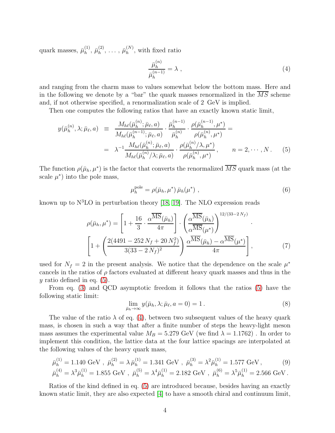quark masses,  $\bar{\mu}_h^{(1)}$  $\bar{\mu}_h^{(1)},\,\bar{\mu}_h^{(2)}$  $\bar{\mu}_h^{(2)}, \ldots, \bar{\mu}_h^{(N)}$  $h^{(N)}$ , with fixed ratio

<span id="page-4-1"></span>
$$
\frac{\bar{\mu}_h^{(n)}}{\bar{\mu}_h^{(n-1)}} = \lambda \tag{4}
$$

and ranging from the charm mass to values somewhat below the bottom mass. Here and in the following we denote by a "bar" the quark masses renormalized in the MS scheme and, if not otherwise specified, a renormalization scale of 2 GeV is implied.

Then one computes the following ratios that have an exactly known static limit,

<span id="page-4-0"></span>
$$
y(\bar{\mu}_{h}^{(n)}, \lambda; \bar{\mu}_{\ell}, a) = \frac{M_{h\ell}(\bar{\mu}_{h}^{(n)}; \bar{\mu}_{\ell}, a)}{M_{h\ell}(\bar{\mu}_{h}^{(n-1)}; \bar{\mu}_{\ell}, a)} \cdot \frac{\bar{\mu}_{h}^{(n-1)}}{\bar{\mu}_{h}^{(n)}} \cdot \frac{\rho(\bar{\mu}_{h}^{(n-1)}, \mu^{*})}{\rho(\bar{\mu}_{h}^{(n)}, \mu^{*})} =
$$
  

$$
= \lambda^{-1} \frac{M_{h\ell}(\bar{\mu}_{h}^{(n)}; \bar{\mu}_{\ell}, a)}{M_{h\ell}(\bar{\mu}_{h}^{(n)}/\lambda; \bar{\mu}_{\ell}, a)} \cdot \frac{\rho(\bar{\mu}_{h}^{(n)}/\lambda, \mu^{*})}{\rho(\bar{\mu}_{h}^{(n)}, \mu^{*})}, \qquad n = 2, \cdots, N. \tag{5}
$$

The function  $\rho(\bar{\mu}_h, \mu^*)$  is the factor that converts the renormalized  $\overline{MS}$  quark mass (at the scale  $\mu^*$ ) into the pole mass,

<span id="page-4-2"></span>
$$
\mu_h^{\text{pole}} = \rho(\bar{\mu}_h, \mu^*) \bar{\mu}_h(\mu^*) \tag{6}
$$

known up to  $N<sup>3</sup>LO$  in perturbation theory [\[18,](#page-22-2) [19\]](#page-22-3). The NLO expression reads

$$
\rho(\bar{\mu}_h, \mu^*) = \left[1 + \frac{16}{3} \cdot \frac{\alpha^{\overline{\text{MS}}}(\bar{\mu}_h)}{4\pi}\right] \cdot \left(\frac{\alpha^{\overline{\text{MS}}}(\bar{\mu}_h)}{\alpha^{\overline{\text{MS}}}(\mu^*)}\right)^{12/(33-2N_f)} \cdot \left[1 + \left(\frac{2(4491 - 252N_f + 20N_f^2)}{3(33-2N_f)^2}\right) \frac{\alpha^{\overline{\text{MS}}}(\bar{\mu}_h) - \alpha^{\overline{\text{MS}}}(\mu^*)}{4\pi}\right],\tag{7}
$$

used for  $N_f = 2$  in the present analysis. We notice that the dependence on the scale  $\mu^*$ cancels in the ratios of  $\rho$  factors evaluated at different heavy quark masses and thus in the  $y$  ratio defined in eq.  $(5)$ .

From eq. [\(3\)](#page-3-1) and QCD asymptotic freedom it follows that the ratios [\(5\)](#page-4-0) have the following static limit:

$$
\lim_{\bar{\mu}_h \to \infty} y(\bar{\mu}_h, \lambda; \bar{\mu}_\ell, a = 0) = 1.
$$
\n(8)

The value of the ratio  $\lambda$  of eq. [\(4\)](#page-4-1), between two subsequent values of the heavy quark mass, is chosen in such a way that after a finite number of steps the heavy-light meson mass assumes the experimental value  $M_B = 5.279$  GeV (we find  $\lambda = 1.1762$ ). In order to implement this condition, the lattice data at the four lattice spacings are interpolated at the following values of the heavy quark mass,

$$
\bar{\mu}_h^{(1)} = 1.140 \text{ GeV}, \ \bar{\mu}_h^{(2)} = \lambda \bar{\mu}_h^{(1)} = 1.341 \text{ GeV}, \ \bar{\mu}_h^{(3)} = \lambda^2 \bar{\mu}_h^{(1)} = 1.577 \text{ GeV}, \tag{9}
$$
\n
$$
\bar{\mu}_h^{(4)} = \lambda^3 \bar{\mu}_h^{(1)} = 1.855 \text{ GeV}, \ \bar{\mu}_h^{(5)} = \lambda^4 \bar{\mu}_h^{(1)} = 2.182 \text{ GeV}, \ \bar{\mu}_h^{(6)} = \lambda^5 \bar{\mu}_h^{(1)} = 2.566 \text{ GeV}.
$$

Ratios of the kind defined in eq. [\(5\)](#page-4-0) are introduced because, besides having an exactly known static limit, they are also expected [\[4\]](#page-20-3) to have a smooth chiral and continuum limit,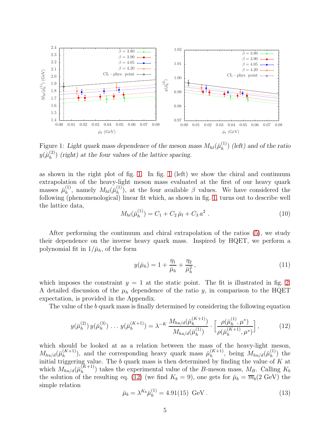

<span id="page-5-0"></span>Figure 1: Light quark mass dependence of the meson mass  $M_{h\ell}(\bar{\mu}_h^{(1)})$  $\binom{1}{h}$  (left) and of the ratio  $y(\bar{\mu}_h^{(2)}$  $\binom{2}{h}$  (right) at the four values of the lattice spacing.

as shown in the right plot of fig. [1.](#page-5-0) In fig. [1](#page-5-0) (left) we show the chiral and continuum extrapolation of the heavy-light meson mass evaluated at the first of our heavy quark masses  $\bar{\mu}_h^{(1)}$  $\eta_h^{(1)}$ , namely  $M_{hl}(\bar{\mu}_h^{(1)})$  $\binom{1}{h}$ , at the four available  $\beta$  values. We have considered the following (phenomenological) linear fit which, as shown in fig. [1,](#page-5-0) turns out to describe well the lattice data,

$$
M_{hl}(\bar{\mu}_h^{(1)}) = C_1 + C_2 \,\bar{\mu}_l + C_3 \, a^2 \tag{10}
$$

After performing the continuum and chiral extrapolation of the ratios [\(5\)](#page-4-0), we study their dependence on the inverse heavy quark mass. Inspired by HQET, we perform a polynomial fit in  $1/\bar{\mu}_h$ , of the form

<span id="page-5-3"></span>
$$
y(\bar{\mu}_h) = 1 + \frac{\eta_1}{\bar{\mu}_h} + \frac{\eta_2}{\bar{\mu}_h^2},\tag{11}
$$

which imposes the constraint  $y = 1$  at the static point. The fit is illustrated in fig. [2.](#page-6-0) A detailed discussion of the  $\mu_h$  dependence of the ratio y, in comparison to the HQET expectation, is provided in the Appendix.

The value of the b quark mass is finally determined by considering the following equation

<span id="page-5-1"></span>
$$
y(\bar{\mu}_h^{(2)})\,y(\bar{\mu}_h^{(3)})\,\ldots\,y(\bar{\mu}_h^{(K+1)}) = \lambda^{-K}\,\frac{M_{hu/d}(\bar{\mu}_h^{(K+1)})}{M_{hu/d}(\bar{\mu}_h^{(1)})}\cdot\left[\frac{\rho(\bar{\mu}_h^{(1)},\mu^*)}{\rho(\bar{\mu}_h^{(K+1)},\mu^*)}\right],\tag{12}
$$

which should be looked at as a relation between the mass of the heavy-light meson,  $M_{hu/d}(\bar{\mu}_h^{(K+1)})$  $\binom{K+1}{h}$ , and the corresponding heavy quark mass  $\bar{\mu}_{h}^{(K+1)}$  $\binom{(K+1)}{h}$ , being  $M_{hu/d}(\bar{\mu}_h^{(1)})$  $\binom{1}{h}$  the initial triggering value. The b quark mass is then determined by finding the value of  $K$  at which  $M_{hu/d}(\bar{\mu}_h^{(K+1)})$  $\binom{(A+1)}{h}$  takes the experimental value of the B-meson mass,  $M_B$ . Calling  $K_b$ the solution of the resulting eq. [\(12\)](#page-5-1) (we find  $K_b = 9$ ), one gets for  $\bar{\mu}_b = \overline{m}_b(2 \text{ GeV})$  the simple relation

<span id="page-5-2"></span>
$$
\bar{\mu}_b = \lambda^{K_b} \bar{\mu}_h^{(1)} = 4.91(15) \text{ GeV} . \tag{13}
$$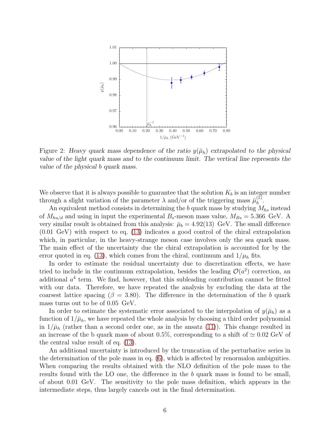

<span id="page-6-0"></span>Figure 2: Heavy quark mass dependence of the ratio  $y(\bar{\mu}_h)$  extrapolated to the physical value of the light quark mass and to the continuum limit. The vertical line represents the value of the physical b quark mass.

We observe that it is always possible to guarantee that the solution  $K_b$  is an integer number through a slight variation of the parameter  $\lambda$  and/or of the triggering mass  $\bar{\mu}_h^{(1)}$  $h^{(1)}$ .

An equivalent method consists in determining the b quark mass by studying  $M_{hs}$  instead of  $M_{hu/d}$  and using in input the experimental  $B_s$ -meson mass value,  $M_{Bs} = 5.366 \text{ GeV}$ . A very similar result is obtained from this analysis:  $\bar{\mu}_b = 4.92(13)$  GeV. The small difference (0.01 GeV) with respect to eq. [\(13\)](#page-5-2) indicates a good control of the chiral extrapolation which, in particular, in the heavy-strange meson case involves only the sea quark mass. The main effect of the uncertainty due the chiral extrapolation is accounted for by the error quoted in eq. [\(13\)](#page-5-2), which comes from the chiral, continuum and  $1/\mu_h$  fits.

In order to estimate the residual uncertainty due to discretization effects, we have tried to include in the continuum extrapolation, besides the leading  $\mathcal{O}(a^2)$  correction, an additional  $a<sup>4</sup>$  term. We find, however, that this subleading contribution cannot be fitted with our data. Therefore, we have repeated the analysis by excluding the data at the coarsest lattice spacing ( $\beta = 3.80$ ). The difference in the determination of the b quark mass turns out to be of 0.05 GeV.

In order to estimate the systematic error associated to the interpolation of  $y(\bar{\mu}_h)$  as a function of  $1/\bar{\mu}_h$ , we have repeated the whole analysis by choosing a third order polynomial in  $1/\bar{\mu}_h$  (rather than a second order one, as in the ansatz [\(11\)](#page-5-3)). This change resulted in an increase of the b quark mass of about 0.5%, corresponding to a shift of  $\simeq 0.02$  GeV of the central value result of eq. [\(13\)](#page-5-2).

An additional uncertainty is introduced by the truncation of the perturbative series in the determination of the pole mass in eq. [\(6\)](#page-4-2), which is affected by renormalon ambiguities. When comparing the results obtained with the NLO definition of the pole mass to the results found with the LO one, the difference in the b quark mass is found to be small, of about 0.01 GeV. The sensitivity to the pole mass definition, which appears in the intermediate steps, thus largely cancels out in the final determination.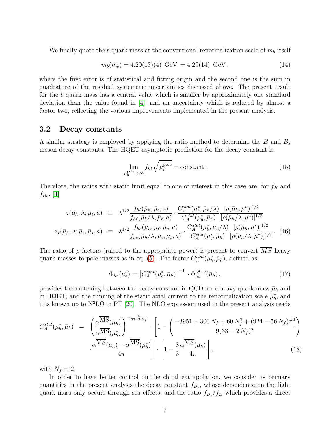We finally quote the b quark mass at the conventional renormalization scale of  $m_b$  itself

<span id="page-7-2"></span>
$$
\bar{m}_b(m_b) = 4.29(13)(4) \text{ GeV} = 4.29(14) \text{ GeV}, \qquad (14)
$$

where the first error is of statistical and fitting origin and the second one is the sum in quadrature of the residual systematic uncertainties discussed above. The present result for the b quark mass has a central value which is smaller by approximately one standard deviation than the value found in [\[4\]](#page-20-3), and an uncertainty which is reduced by almost a factor two, reflecting the various improvements implemented in the present analysis.

#### 3.2 Decay constants

A similar strategy is employed by applying the ratio method to determine the  $B$  and  $B_s$ meson decay constants. The HQET asymptotic prediction for the decay constant is

$$
\lim_{\mu_h^{\text{pole}} \to \infty} f_{h\ell} \sqrt{\mu_h^{\text{pole}}} = \text{constant} \,. \tag{15}
$$

Therefore, the ratios with static limit equal to one of interest in this case are, for  $f_B$  and  $f_{Bs}$ , [\[4\]](#page-20-3)

<span id="page-7-3"></span>
$$
z(\bar{\mu}_h, \lambda; \bar{\mu}_\ell, a) \equiv \lambda^{1/2} \frac{f_{h\ell}(\bar{\mu}_h, \bar{\mu}_\ell, a)}{f_{h\ell}(\bar{\mu}_h/\lambda, \bar{\mu}_\ell, a)} \cdot \frac{C_A^{stat}(\mu_b^*, \bar{\mu}_h/\lambda)}{C_A^{stat}(\mu_b^*, \bar{\mu}_h)} \frac{[\rho(\bar{\mu}_h, \mu^*)]^{1/2}}{[\rho(\bar{\mu}_h/\lambda, \mu^*)]^{1/2}}
$$
  

$$
z_s(\bar{\mu}_h, \lambda; \bar{\mu}_\ell, \bar{\mu}_s, a) \equiv \lambda^{1/2} \frac{f_{h\ell}(\bar{\mu}_h, \bar{\mu}_\ell, \bar{\mu}_s, a)}{f_{h\ell}(\bar{\mu}_h/\lambda, \bar{\mu}_\ell, \bar{\mu}_s, a)} \cdot \frac{C_A^{stat}(\mu_b^*, \bar{\mu}_h/\lambda)}{C_A^{stat}(\mu_b^*, \bar{\mu}_h)} \frac{[\rho(\bar{\mu}_h, \mu^*)]^{1/2}}{[\rho(\bar{\mu}_h/\lambda, \mu^*)]^{1/2}}. (16)
$$

The ratio of  $\rho$  factors (raised to the appropriate power) is present to convert  $\overline{MS}$  heavy quark masses to pole masses as in eq. [\(5\)](#page-4-0). The factor  $C_A^{stat}(\mu_b^*, \bar{\mu}_h)$ , defined as

<span id="page-7-0"></span>
$$
\Phi_{hs}(\mu_b^*) = \left[C_A^{stat}(\mu_b^*, \bar{\mu}_h)\right]^{-1} \cdot \Phi_{hs}^{\text{QCD}}(\bar{\mu}_h),\tag{17}
$$

provides the matching between the decay constant in QCD for a heavy quark mass  $\bar{\mu}_h$  and in HQET, and the running of the static axial current to the renormalization scale  $\mu_b^*$ , and it is known up to  $N^2LO$  in PT [\[20\]](#page-22-4). The NLO expression used in the present analysis reads

<span id="page-7-1"></span>
$$
C_A^{stat}(\mu_b^*, \bar{\mu}_h) = \left(\frac{\alpha^{\overline{\text{MS}}}(\bar{\mu}_h)}{\alpha^{\overline{\text{MS}}}(\mu_b^*)}\right)^{-\frac{6}{33-2N_f}} \cdot \left[1 - \left(\frac{-3951 + 300 N_f + 60 N_f^2 + (924 - 56 N_f)\pi^2}{9(33 - 2 N_f)^2}\right) \cdot \frac{\alpha^{\overline{\text{MS}}}(\bar{\mu}_h) - \alpha^{\overline{\text{MS}}}(\mu_b^*)}{4\pi}\right] \cdot \left[1 - \frac{8}{3} \frac{\alpha^{\overline{\text{MS}}}(\bar{\mu}_h)}{4\pi}\right],\tag{18}
$$

with  $N_f = 2$ .

In order to have better control on the chiral extrapolation, we consider as primary quantities in the present analysis the decay constant  $f_{B_s}$ , whose dependence on the light quark mass only occurs through sea effects, and the ratio  $f_{B_s}/f_B$  which provides a direct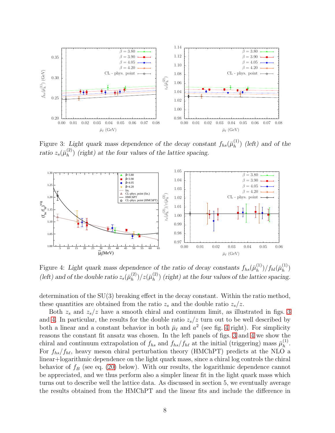

<span id="page-8-0"></span>Figure 3: Light quark mass dependence of the decay constant  $f_{hs}(\bar{\mu}_h^{(1)})$  $\binom{1}{h}$  (left) and of the ratio  $z_s({\bar \mu}_h^{(2)}$  $\binom{2}{h}$  (right) at the four values of the lattice spacing.



<span id="page-8-1"></span>Figure 4: Light quark mass dependence of the ratio of decay constants  $f_{hs}(\bar{\mu}_h^{(1)})$  $\binom{1}{h}/f_{hl}(\bar{\mu}_{h}^{(1)})$  $\binom{1}{h}$ (left) and of the double ratio  $z_s(\bar{\mu}_h^{(2)})$  $_{h}^{(2)})/z(\bar{\mu}_{h}^{(2)})$  $\binom{2}{h}$  (right) at the four values of the lattice spacing.

determination of the SU(3) breaking effect in the decay constant. Within the ratio method, these quantities are obtained from the ratio  $z_s$  and the double ratio  $z_s/z$ .

Both  $z_s$  and  $z_s/z$  have a smooth chiral and continuum limit, as illustrated in figs. [3](#page-8-0) and [4.](#page-8-1) In particular, the results for the double ratio  $z_s/z$  turn out to be well described by both a linear and a constant behavior in both  $\bar{\mu}_{\ell}$  and  $a^2$  (see fig. [4](#page-8-1) right). For simplicity reasons the constant fit ansatz was chosen. In the left panels of figs. [3](#page-8-0) and [4](#page-8-1) we show the chiral and continuum extrapolation of  $f_{hs}$  and  $f_{hs}/f_{h\ell}$  at the initial (triggering) mass  $\bar{\mu}_h^{(1)}$  $\frac{(1)}{h}$ . For  $f_{hs}/f_{h\ell}$ , heavy meson chiral perturbation theory (HMChPT) predicts at the NLO a linear+logarithmic dependence on the light quark mass, since a chiral log controls the chiral behavior of  $f_B$  (see eq. [\(20\)](#page-10-0) below). With our results, the logarithmic dependence cannot be appreciated, and we thus perform also a simpler linear fit in the light quark mass which turns out to describe well the lattice data. As discussed in section 5, we eventually average the results obtained from the HMChPT and the linear fits and include the difference in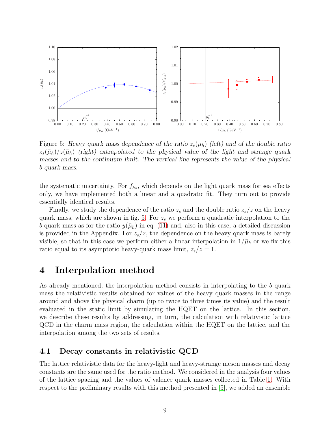

<span id="page-9-0"></span>Figure 5: Heavy quark mass dependence of the ratio  $z_s(\bar{\mu}_h)$  (left) and of the double ratio  $z_s(\bar{\mu}_h)/z(\bar{\mu}_h)$  (right) extrapolated to the physical value of the light and strange quark masses and to the continuum limit. The vertical line represents the value of the physical b quark mass.

the systematic uncertainty. For  $f_{hs}$ , which depends on the light quark mass for sea effects only, we have implemented both a linear and a quadratic fit. They turn out to provide essentially identical results.

Finally, we study the dependence of the ratio  $z_s$  and the double ratio  $z_s/z$  on the heavy quark mass, which are shown in fig. [5.](#page-9-0) For  $z<sub>s</sub>$  we perform a quadratic interpolation to the b quark mass as for the ratio  $y(\bar{\mu}_h)$  in eq. [\(11\)](#page-5-3) and, also in this case, a detailed discussion is provided in the Appendix. For  $z_s/z$ , the dependence on the heavy quark mass is barely visible, so that in this case we perform either a linear interpolation in  $1/\bar{\mu}_h$  or we fix this ratio equal to its asymptotic heavy-quark mass limit,  $z_s/z=1$ .

# 4 Interpolation method

As already mentioned, the interpolation method consists in interpolating to the b quark mass the relativistic results obtained for values of the heavy quark masses in the range around and above the physical charm (up to twice to three times its value) and the result evaluated in the static limit by simulating the HQET on the lattice. In this section, we describe these results by addressing, in turn, the calculation with relativistic lattice QCD in the charm mass region, the calculation within the HQET on the lattice, and the interpolation among the two sets of results.

### 4.1 Decay constants in relativistic QCD

The lattice relativistic data for the heavy-light and heavy-strange meson masses and decay constants are the same used for the ratio method. We considered in the analysis four values of the lattice spacing and the values of valence quark masses collected in Table [1.](#page-3-0) With respect to the preliminary results with this method presented in [\[5\]](#page-21-0), we added an ensemble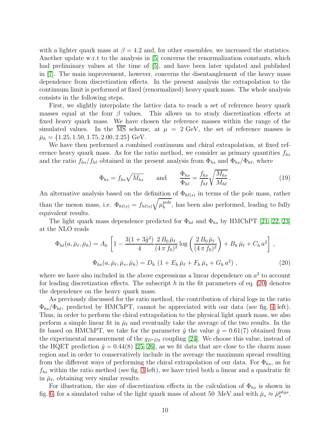with a lighter quark mass at  $\beta = 4.2$  and, for other ensembles, we increased the statistics. Another update w.r.t to the analysis in [\[5\]](#page-21-0) concerns the renormalization constants, which had preliminary values at the time of [\[5\]](#page-21-0), and have been later updated and published in [\[7\]](#page-21-2). The main improvement, however, concerns the disentanglement of the heavy mass dependence from discretization effects. In the present analysis the extrapolation to the continuum limit is performed at fixed (renormalized) heavy quark mass. The whole analysis consists in the following steps.

First, we slightly interpolate the lattice data to reach a set of reference heavy quark masses equal at the four  $\beta$  values. This allows us to study discretization effects at fixed heavy quark mass. We have chosen the reference masses within the range of the simulated values. In the  $\overline{\text{MS}}$  scheme, at  $\mu = 2 \text{ GeV}$ , the set of reference masses is  $\bar{\mu}_h = \{1.25, 1.50, 1.75, 2.00, 2.25\}$  GeV.

We have then performed a combined continuum and chiral extrapolation, at fixed reference heavy quark mass. As for the ratio method, we consider as primary quantities  $f_{hs}$ and the ratio  $f_{hs}/f_{h\ell}$  obtained in the present analysis from  $\Phi_{hs}$  and  $\Phi_{hs}/\Phi_{h\ell}$ , where

$$
\Phi_{hs} = f_{hs}\sqrt{M_{hs}} \quad \text{and} \quad \frac{\Phi_{hs}}{\Phi_{h\ell}} = \frac{f_{hs}}{f_{h\ell}} \sqrt{\frac{M_{hs}}{M_{h\ell}}} \,. \tag{19}
$$

An alternative analysis based on the definition of  $\Phi_{h\ell(s)}$  in terms of the pole mass, rather than the meson mass, i.e.  $\Phi_{h\ell(s)} = f_{h\ell(s)} \sqrt{\mu_b^{\rm pole}}$  $b<sub>b</sub>$ <sup>pole</sup>, has been also performed, leading to fully equivalent results.

The light quark mass dependence predicted for  $\Phi_{h\ell}$  and  $\Phi_{hs}$  by HMChPT [\[21,](#page-22-5) [22,](#page-22-6) [23\]](#page-22-7) at the NLO reads

<span id="page-10-0"></span>
$$
\Phi_{h\ell}(a,\bar{\mu}_{\ell},\bar{\mu}_{h}) = A_{h} \left[ 1 - \frac{3(1+3\hat{g}^{2})}{4} \frac{2 B_{0} \bar{\mu}_{\ell}}{(4 \pi f_{0})^{2}} \log \left( \frac{2 B_{0} \bar{\mu}_{\ell}}{(4 \pi f_{0})^{2}} \right) + B_{h} \bar{\mu}_{\ell} + C_{h} a^{2} \right],
$$
  

$$
\Phi_{h s}(a,\bar{\mu}_{\ell},\bar{\mu}_{s},\bar{\mu}_{h}) = D_{h} \left( 1 + E_{h} \bar{\mu}_{\ell} + F_{h} \bar{\mu}_{s} + G_{h} a^{2} \right),
$$
 (20)

where we have also included in the above expressions a linear dependence on  $a<sup>2</sup>$  to account for leading discretization effects. The subscript h in the fit parameters of eq.  $(20)$  denotes the dependence on the heavy quark mass.

As previously discussed for the ratio method, the contribution of chiral logs in the ratio  $\Phi_{hs}/\Phi_{h\ell}$ , predicted by HMChPT, cannot be appreciated with our data (see fig. [4](#page-8-1) left). Thus, in order to perform the chiral extrapolation to the physical light quark mass, we also perform a simple linear fit in  $\bar{\mu}_{\ell}$  and eventually take the average of the two results. In the fit based on HMChPT, we take for the parameter  $\hat{g}$  the value  $\hat{g} = 0.61(7)$  obtained from the experimental measurement of the  $g_{D^*D\pi}$  coupling [\[24\]](#page-22-8). We choose this value, instead of the HQET prediction  $\hat{g} = 0.44(8)$  [\[25,](#page-22-9) [26\]](#page-22-10), as we fit data that are close to the charm mass region and in order to conservatively include in the average the maximum spread resulting from the different ways of performing the chiral extrapolation of our data. For  $\Phi_{hs}$ , as for  $f_{hs}$  within the ratio method (see fig. [3](#page-8-0) left), we have tried both a linear and a quadratic fit in  $\bar{\mu}_{\ell}$ , obtaining very similar results.

For illustration, the size of discretization effects in the calculation of  $\Phi_{hs}$  is shown in fig. [6,](#page-11-0) for a simulated value of the light quark mass of about 50 MeV and with  $\bar{\mu}_s \approx \bar{\mu}_s^{phys}$ .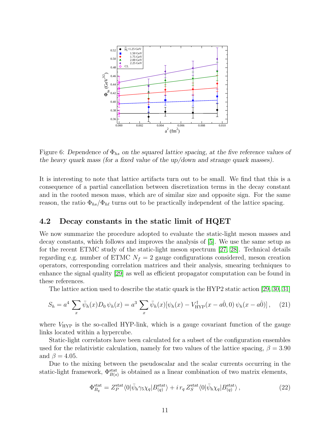

<span id="page-11-0"></span>Figure 6: Dependence of  $\Phi_{hs}$  on the squared lattice spacing, at the five reference values of the heavy quark mass (for a fixed value of the up/down and strange quark masses).

It is interesting to note that lattice artifacts turn out to be small. We find that this is a consequence of a partial cancellation between discretization terms in the decay constant and in the rooted meson mass, which are of similar size and opposite sign. For the same reason, the ratio  $\Phi_{hs}/\Phi_{h\ell}$  turns out to be practically independent of the lattice spacing.

### 4.2 Decay constants in the static limit of HQET

We now summarize the procedure adopted to evaluate the static-light meson masses and decay constants, which follows and improves the analysis of [\[5\]](#page-21-0). We use the same setup as for the recent ETMC study of the static-light meson spectrum [\[27,](#page-22-11) [28\]](#page-22-12). Technical details regarding e.g. number of ETMC  $N_f = 2$  gauge configurations considered, meson creation operators, corresponding correlation matrices and their analysis, smearing techniques to enhance the signal quality [\[29\]](#page-22-13) as well as efficient propagator computation can be found in these references.

The lattice action used to describe the static quark is the HYP2 static action [\[29,](#page-22-13) [30,](#page-22-14) [31\]](#page-23-0)

$$
S_h = a^4 \sum_x \bar{\psi}_h(x) D_0 \psi_h(x) = a^3 \sum_x \bar{\psi}_h(x) [\psi_h(x) - V_{\text{HYP}}^\dagger(x - a_0^0, 0) \psi_h(x - a_0^0)], \quad (21)
$$

where  $V_{\text{HYP}}$  is the so-called HYP-link, which is a gauge covariant function of the gauge links located within a hypercube.

Static-light correlators have been calculated for a subset of the configuration ensembles used for the relativistic calculation, namely for two values of the lattice spacing,  $\beta = 3.90$ and  $\beta = 4.05$ .

Due to the mixing between the pseudoscalar and the scalar currents occurring in the static-light framework,  $\Phi_{B(s)}^{\text{stat}}$  is obtained as a linear combination of two matrix elements,

$$
\Phi_{B_q}^{\text{stat}} = Z_P^{\text{stat}} \langle 0 | \bar{\psi}_{\text{h}} \gamma_5 \chi_q | B_{(q)}^{\text{stat}} \rangle + i \, r_q \, Z_S^{\text{stat}} \langle 0 | \bar{\psi}_{\text{h}} \chi_q | B_{(q)}^{\text{stat}} \rangle \,, \tag{22}
$$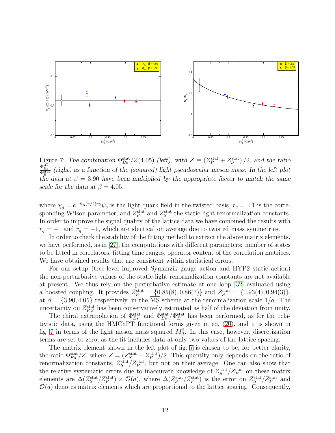

<span id="page-12-0"></span>Figure 7: The combination  $\Phi_{Bs}^{\text{stat}}/Z(4.05)$  (left), with  $Z \equiv (Z_P^{\text{stat}} + Z_S^{\text{stat}})/2$ , and the ratio  $\Phi_{B_s}^{\text{stat}}$  (right) as a function of the (squared) light pseudoscalar meson mass. In the left plot the data at  $\beta = 3.90$  have been multiplied by the appropriate factor to match the same scale for the data at  $\beta = 4.05$ .

where  $\chi_q = e^{-ir_q(\pi/4)\gamma_5}\psi_q$  is the light quark field in the twisted basis,  $r_q = \pm 1$  is the corresponding Wilson parameter, and  $Z_P^{\text{stat}}$  and  $Z_S^{\text{stat}}$  the static-light renormalization constants. In order to improve the signal quality of the lattice data we have combined the results with  $r_q = +1$  and  $r_q = -1$ , which are identical on average due to twisted mass symmetries.

In order to check the stability of the fitting method to extract the above matrix elements, we have performed, as in [\[27\]](#page-22-11), the computations with different parameters: number of states to be fitted in correlators, fitting time ranges, operator content of the correlation matrices. We have obtained results that are consistent within statistical errors.

For our setup (tree-level improved Symanzik gauge action and HYP2 static action) the non-perturbative values of the static-light renormalization constants are not available at present. We thus rely on the perturbative estimate at one loop [\[32\]](#page-23-1) evaluated using a boosted coupling. It provides  $Z_P^{\text{stat}} = \{0.85(8), 0.86(7)\}\$  and  $Z_S^{\text{stat}} = \{0.93(4), 0.94(3)\}\$ , at  $\beta = \{3.90, 4.05\}$  respectively, in the  $\overline{\text{MS}}$  scheme at the renormalization scale  $1/a$ . The uncertainty on  $Z_{P,S}^{\text{stat}}$  has been conservatively estimated as half of the deviation from unity.

The chiral extrapolation of  $\Phi_{Bs}^{\text{stat}}$  and  $\Phi_{Bs}^{\text{stat}}/\Phi_B^{\text{stat}}$  has been performed, as for the relativistic data, using the HMChPT functional forms given in eq. [\(20\)](#page-10-0), and it is shown in fig. [7](#page-12-0) in terms of the light meson mass squared  $M_{ll}^2$ . In this case, however, discretization terms are set to zero, as the fit includes data at only two values of the lattice spacing.

The matrix element shown in the left plot of fig. [7](#page-12-0) is chosen to be, for better clarity, the ratio  $\Phi_{Bs}^{\text{stat}}/Z$ , where  $Z = (Z_S^{\text{stat}} + Z_P^{\text{stat}})/2$ . This quantity only depends on the ratio of renormalization constants,  $Z_S^{\text{stat}}/Z_P^{\text{stat}}$ , but not on their average. One can also show that the relative systematic errors due to inaccurate knowledge of  $Z_S^{\text{stat}}/Z_P^{\text{stat}}$  on these matrix elements are  $\Delta(Z_S^{\text{stat}}/Z_P^{\text{stat}}) \times \mathcal{O}(a)$ , where  $\Delta(Z_S^{\text{stat}}/Z_P^{\text{stat}})$  is the error on  $Z_S^{\text{stat}}/Z_P^{\text{stat}}$  and  $\mathcal{O}(a)$  denotes matrix elements which are proportional to the lattice spacing. Consequently,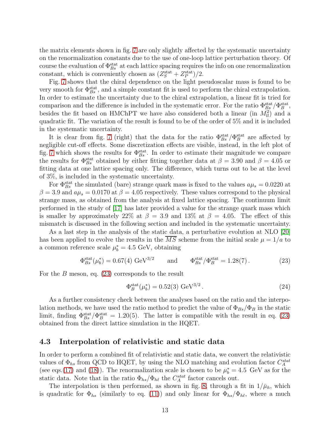the matrix elements shown in fig. [7](#page-12-0) are only slightly affected by the systematic uncertainty on the renormalization constants due to the use of one-loop lattice perturbation theory. Of course the evaluation of  $\Phi_{Bs}^{\rm stat}$  at each lattice spacing requires the info on one renormalization constant, which is conveniently chosen as  $(Z_S^{\text{stat}} + Z_P^{\text{stat}})/2$ .

Fig. [7](#page-12-0) shows that the chiral dependence on the light pseudoscalar mass is found to be very smooth for  $\Phi_{Bs}^{\text{stat}}$ , and a simple constant fit is used to perform the chiral extrapolation. In order to estimate the uncertainty due to the chiral extrapolation, a linear fit is tried for comparison and the difference is included in the systematic error. For the ratio  $\Phi_{Bs}^{\text{stat}}/\Phi_B^{\text{stat}}$ , besides the fit based on HMChPT we have also considered both a linear (in  $M_{ll}^2$ ) and a quadratic fit. The variation of the result is found to be of the order of 5% and it is included in the systematic uncertainty.

It is clear from fig. [7](#page-12-0) (right) that the data for the ratio  $\Phi_{Bs}^{\text{stat}}/\Phi_B^{\text{stat}}$  are affected by negligible cut-off effects. Some discretization effects are visible, instead, in the left plot of fig. [7](#page-12-0) which shows the results for  $\Phi_{Bs}^{\text{stat}}$ . In order to estimate their magnitude we compare the results for  $\Phi_{Bs}^{\text{stat}}$  obtained by either fitting together data at  $\beta = 3.90$  and  $\beta = 4.05$  or fitting data at one lattice spacing only. The difference, which turns out to be at the level of 3%, is included in the systematic uncertainty.

For  $\Phi_{Bs}^{\text{stat}}$  the simulated (bare) strange quark mass is fixed to the values  $a\mu_s = 0.0220$  at  $\beta = 3.9$  and  $a\mu_s = 0.0170$  at  $\beta = 4.05$  respectively. These values correspond to the physical strange mass, as obtained from the analysis at fixed lattice spacing. The continuum limit performed in the study of [\[17\]](#page-22-1) has later provided a value for the strange quark mass which is smaller by approximately 22% at  $\beta = 3.9$  and 13% at  $\beta = 4.05$ . The effect of this mismatch is discussed in the following section and included in the systematic uncertainty.

As a last step in the analysis of the static data, a perturbative evolution at NLO [\[20\]](#page-22-4) has been applied to evolve the results in the MS scheme from the initial scale  $\mu = 1/a$  to a common reference scale  $\mu_b^* = 4.5 \text{ GeV}$ , obtaining

<span id="page-13-0"></span>
$$
\Phi_{Bs}^{\text{stat}}(\mu_b^*) = 0.67(4) \text{ GeV}^{3/2} \qquad \text{and} \qquad \Phi_{Bs}^{\text{stat}}/\Phi_B^{\text{stat}} = 1.28(7). \tag{23}
$$

For the  $B$  meson, eq.  $(23)$  corresponds to the result

$$
\Phi_B^{\text{stat}}(\mu_b^*) = 0.52(3) \text{ GeV}^{3/2}. \tag{24}
$$

As a further consistency check between the analyses based on the ratio and the interpolation methods, we have used the ratio method to predict the value of  $\Phi_{Bs}/\Phi_B$  in the static limit, finding  $\Phi_{Bs}^{\text{stat}}/\Phi_B^{\text{stat}} = 1.20(5)$ . The latter is compatible with the result in eq. [\(23\)](#page-13-0) obtained from the direct lattice simulation in the HQET.

### 4.3 Interpolation of relativistic and static data

In order to perform a combined fit of relativistic and static data, we convert the relativistic values of  $\Phi_{hs}$  from QCD to HQET, by using the NLO matching and evolution factor  $C_A^{stat}$ (see eqs.[\(17\)](#page-7-0) and [\(18\)](#page-7-1)). The renormalization scale is chosen to be  $\mu_b^* = 4.5$  GeV as for the static data. Note that in the ratio  $\Phi_{hs}/\Phi_{h\ell}$  the  $C_A^{stat}$  factor cancels out.

The interpolation is then performed, as shown in fig. [8,](#page-14-0) through a fit in  $1/\bar{\mu}_h$ , which is quadratic for  $\Phi_{hs}$  (similarly to eq. [\(11\)](#page-5-3)) and only linear for  $\Phi_{hs}/\Phi_{h\ell}$ , where a much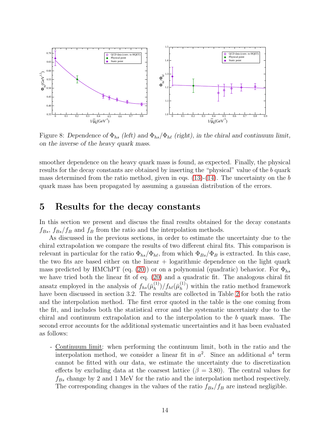

<span id="page-14-0"></span>Figure 8: Dependence of  $\Phi_{hs}$  (left) and  $\Phi_{hs}/\Phi_{h\ell}$  (right), in the chiral and continuum limit, on the inverse of the heavy quark mass.

smoother dependence on the heavy quark mass is found, as expected. Finally, the physical results for the decay constants are obtained by inserting the "physical" value of the b quark mass determined from the ratio method, given in eqs.  $(13)-(14)$  $(13)-(14)$ . The uncertainty on the b quark mass has been propagated by assuming a gaussian distribution of the errors.

### 5 Results for the decay constants

In this section we present and discuss the final results obtained for the decay constants  $f_{Bs}, f_{Bs}/f_B$  and  $f_B$  from the ratio and the interpolation methods.

As discussed in the previous sections, in order to estimate the uncertainty due to the chiral extrapolation we compare the results of two different chiral fits. This comparison is relevant in particular for the ratio  $\Phi_{hs}/\Phi_{h\ell}$ , from which  $\Phi_{Bs}/\Phi_B$  is extracted. In this case, the two fits are based either on the linear  $+$  logarithmic dependence on the light quark mass predicted by HMChPT (eq. [\(20\)](#page-10-0)) or on a polynomial (quadratic) behavior. For  $\Phi_{hs}$ we have tried both the linear fit of eq. [\(20\)](#page-10-0) and a quadratic fit. The analogous chiral fit ansatz employed in the analysis of  $f_{hs}(\bar{\mu}_h^{(1)})$  $\binom{1}{h}/f_{h\ell}(\bar\mu_h^{(1)})$  $\binom{1}{h}$  within the ratio method framework have been discussed in section 3.2. The results are collected in Table [2](#page-15-0) for both the ratio and the interpolation method. The first error quoted in the table is the one coming from the fit, and includes both the statistical error and the systematic uncertainty due to the chiral and continuum extrapolation and to the interpolation to the b quark mass. The second error accounts for the additional systematic uncertainties and it has been evaluated as follows:

- Continuum limit: when performing the continuum limit, both in the ratio and the interpolation method, we consider a linear fit in  $a^2$ . Since an additional  $a^4$  term cannot be fitted with our data, we estimate the uncertainty due to discretization effects by excluding data at the coarsest lattice ( $\beta = 3.80$ ). The central values for  $f_{Bs}$  change by 2 and 1 MeV for the ratio and the interpolation method respectively. The corresponding changes in the values of the ratio  $f_{Bs}/f_B$  are instead negligible.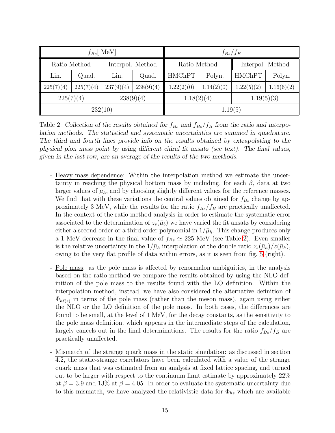| $f_{Bs}$ MeV |           |                  |           | $f_{Bs}/f_B$  |            |                  |            |  |
|--------------|-----------|------------------|-----------|---------------|------------|------------------|------------|--|
| Ratio Method |           | Interpol. Method |           | Ratio Method  |            | Interpol. Method |            |  |
| Lin.         | Quad.     | Lin.             | Quad.     | <b>HMChPT</b> | Polyn.     | <b>HMChPT</b>    | Polyn.     |  |
| 225(7)(4)    | 225(7)(4) | 237(9)(4)        | 238(9)(4) | 1.22(2)(0)    | 1.14(2)(0) | 1.22(5)(2)       | 1.16(6)(2) |  |
| 225(7)(4)    |           | 238(9)(4)        |           | 1.18(2)(4)    |            | 1.19(5)(3)       |            |  |
| 232(10)      |           |                  |           | 1.19(5)       |            |                  |            |  |

<span id="page-15-0"></span>Table 2: Collection of the results obtained for  $f_{Bs}$  and  $f_{Bs}/f_B$  from the ratio and interpolation methods. The statistical and systematic uncertainties are summed in quadrature. The third and fourth lines provide info on the results obtained by extrapolating to the physical pion mass point by using different chiral fit ansatz (see text). The final values, given in the last row, are an average of the results of the two methods.

- Heavy mass dependence: Within the interpolation method we estimate the uncertainty in reaching the physical bottom mass by including, for each  $\beta$ , data at two larger values of  $\mu_h$ , and by choosing slightly different values for the reference masses. We find that with these variations the central values obtained for  $f_{Bs}$  change by approximately 3 MeV, while the results for the ratio  $f_{Bs}/f_B$  are practically unaffected. In the context of the ratio method analysis in order to estimate the systematic error associated to the determination of  $z_s(\bar{\mu}_b)$  we have varied the fit ansatz by considering either a second order or a third order polynomial in  $1/\bar{\mu}_h$ . This change produces only a 1 MeV decrease in the final value of  $f_{Bs} \simeq 225$  MeV (see Table [2\)](#page-15-0). Even smaller is the relative uncertainty in the  $1/\bar{\mu}_h$  interpolation of the double ratio  $z_s(\bar{\mu}_h)/z(\bar{\mu}_h)$ , owing to the very flat profile of data within errors, as it is seen from fig. [5](#page-9-0) (right).
- Pole mass: as the pole mass is affected by renormalon ambiguities, in the analysis based on the ratio method we compare the results obtained by using the NLO definition of the pole mass to the results found with the LO definition. Within the interpolation method, instead, we have also considered the alternative definition of  $\Phi_{h\ell(s)}$  in terms of the pole mass (rather than the meson mass), again using either the NLO or the LO definition of the pole mass. In both cases, the differences are found to be small, at the level of 1 MeV, for the decay constants, as the sensitivity to the pole mass definition, which appears in the intermediate steps of the calculation, largely cancels out in the final determinations. The results for the ratio  $f_{Bs}/f_B$  are practically unaffected.
- Mismatch of the strange quark mass in the static simulation: as discussed in section 4.2, the static-strange correlators have been calculated with a value of the strange quark mass that was estimated from an analysis at fixed lattice spacing, and turned out to be larger with respect to the continuum limit estimate by approximately 22% at  $\beta = 3.9$  and 13% at  $\beta = 4.05$ . In order to evaluate the systematic uncertainty due to this mismatch, we have analyzed the relativistic data for  $\Phi_{hs}$  which are available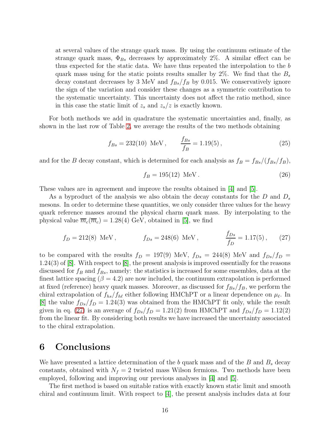at several values of the strange quark mass. By using the continuum estimate of the strange quark mass,  $\Phi_{Bs}$  decreases by approximately 2%. A similar effect can be thus expected for the static data. We have thus repeated the interpolation to the b quark mass using for the static points results smaller by 2\%. We find that the  $B_s$ decay constant decreases by 3 MeV and  $f_{Bs}/f_B$  by 0.015. We conservatively ignore the sign of the variation and consider these changes as a symmetric contribution to the systematic uncertainty. This uncertainty does not affect the ratio method, since in this case the static limit of  $z_s$  and  $z_s/z$  is exactly known.

For both methods we add in quadrature the systematic uncertainties and, finally, as shown in the last row of Table [2,](#page-15-0) we average the results of the two methods obtaining

$$
f_{Bs} = 232(10) \text{ MeV}, \qquad \frac{f_{Bs}}{f_B} = 1.19(5), \tag{25}
$$

and for the B decay constant, which is determined for each analysis as  $f_B = f_{Bs}/(f_{Bs}/f_B)$ ,

$$
f_B = 195(12) \text{ MeV}. \tag{26}
$$

These values are in agreement and improve the results obtained in [\[4\]](#page-20-3) and [\[5\]](#page-21-0).

As a byproduct of the analysis we also obtain the decay constants for the  $D$  and  $D_s$ mesons. In order to determine these quantities, we only consider three values for the heavy quark reference masses around the physical charm quark mass. By interpolating to the physical value  $\overline{m}_c(\overline{m}_c) = 1.28(4)$  GeV, obtained in [\[5\]](#page-21-0), we find

<span id="page-16-0"></span>
$$
f_D = 212(8)
$$
 MeV,  $f_{Ds} = 248(6)$  MeV,  $\frac{f_{Ds}}{f_D} = 1.17(5)$ , (27)

to be compared with the results  $f_D = 197(9)$  MeV,  $f_{Ds} = 244(8)$  MeV and  $f_{Ds}/f_D =$ 1.24(3) of [\[8\]](#page-21-3). With respect to [\[8\]](#page-21-3), the present analysis is improved essentially for the reasons discussed for  $f_B$  and  $f_{Bs}$ , namely: the statistics is increased for some ensembles, data at the finest lattice spacing  $(\beta = 4.2)$  are now included, the continuum extrapolation is performed at fixed (reference) heavy quark masses. Moreover, as discussed for  $f_{Bs}/f_B$ , we perform the chiral extrapolation of  $f_{hs}/f_{h\ell}$  either following HMChPT or a linear dependence on  $\mu_{\ell}$ . In [\[8\]](#page-21-3) the value  $f_{Ds}/f_D = 1.24(3)$  was obtained from the HMChPT fit only, while the result given in eq. [\(27\)](#page-16-0) is an average of  $f_{Ds}/f_D = 1.21(2)$  from HMChPT and  $f_{Ds}/f_D = 1.12(2)$ from the linear fit. By considering both results we have increased the uncertainty associated to the chiral extrapolation.

# 6 Conclusions

We have presented a lattice determination of the b quark mass and of the B and  $B_s$  decay constants, obtained with  $N_f = 2$  twisted mass Wilson fermions. Two methods have been employed, following and improving our previous analyses in [\[4\]](#page-20-3) and [\[5\]](#page-21-0).

The first method is based on suitable ratios with exactly known static limit and smooth chiral and continuum limit. With respect to [\[4\]](#page-20-3), the present analysis includes data at four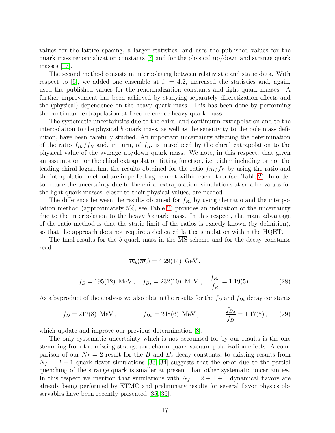values for the lattice spacing, a larger statistics, and uses the published values for the quark mass renormalization constants [\[7\]](#page-21-2) and for the physical up/down and strange quark masses [\[17\]](#page-22-1).

The second method consists in interpolating between relativistic and static data. With respect to [\[5\]](#page-21-0), we added one ensemble at  $\beta = 4.2$ , increased the statistics and, again, used the published values for the renormalization constants and light quark masses. A further improvement has been achieved by studying separately discretization effects and the (physical) dependence on the heavy quark mass. This has been done by performing the continuum extrapolation at fixed reference heavy quark mass.

The systematic uncertainties due to the chiral and continuum extrapolation and to the interpolation to the physical  $b$  quark mass, as well as the sensitivity to the pole mass definition, have been carefully studied. An important uncertainty affecting the determination of the ratio  $f_{Bs}/f_B$  and, in turn, of  $f_B$ , is introduced by the chiral extrapolation to the physical value of the average up/down quark mass. We note, in this respect, that given an assumption for the chiral extrapolation fitting function, i.e. either including or not the leading chiral logarithm, the results obtained for the ratio  $f_{Bs}/f_B$  by using the ratio and the interpolation method are in perfect agreement within each other (see Table [2\)](#page-15-0). In order to reduce the uncertainty due to the chiral extrapolation, simulations at smaller values for the light quark masses, closer to their physical values, are needed.

The difference between the results obtained for  $f_{Bs}$  by using the ratio and the interpolation method (approximately 5%, see Table [2\)](#page-15-0) provides an indication of the uncertainty due to the interpolation to the heavy b quark mass. In this respect, the main advantage of the ratio method is that the static limit of the ratios is exactly known (by definition), so that the approach does not require a dedicated lattice simulation within the HQET.

The final results for the b quark mass in the  $\overline{\text{MS}}$  scheme and for the decay constants read

$$
\overline{m}_b(\overline{m}_b) = 4.29(14) \text{ GeV},
$$

$$
f_B = 195(12)
$$
 MeV,  $f_{Bs} = 232(10)$  MeV,  $\frac{f_{Bs}}{f_B} = 1.19(5)$ . (28)

As a byproduct of the analysis we also obtain the results for the  $f_D$  and  $f_{Ds}$  decay constants

$$
f_D = 212(8)
$$
 MeV,  $f_{Ds} = 248(6)$  MeV,  $\frac{f_{Ds}}{f_D} = 1.17(5)$ , (29)

which update and improve our previous determination [\[8\]](#page-21-3).

The only systematic uncertainty which is not accounted for by our results is the one stemming from the missing strange and charm quark vacuum polarization effects. A comparison of our  $N_f = 2$  result for the B and  $B_s$  decay constants, to existing results from  $N_f = 2 + 1$  quark flavor simulations [\[33,](#page-23-2) [34\]](#page-23-3) suggests that the error due to the partial quenching of the strange quark is smaller at present than other systematic uncertainties. In this respect we mention that simulations with  $N_f = 2 + 1 + 1$  dynamical flavors are already being performed by ETMC and preliminary results for several flavor physics observables have been recently presented [\[35,](#page-23-4) [36\]](#page-23-5).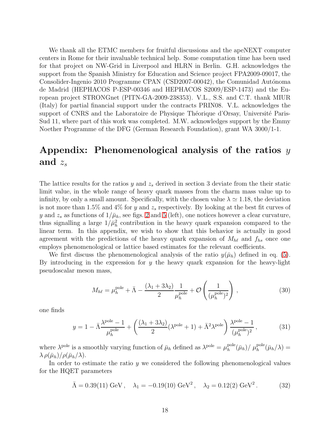We thank all the ETMC members for fruitful discussions and the apeNEXT computer centers in Rome for their invaluable technical help. Some computation time has been used for that project on NW-Grid in Liverpool and HLRN in Berlin. G.H. acknowledges the support from the Spanish Ministry for Education and Science project FPA2009-09017, the Consolider-Ingenio 2010 Programme CPAN (CSD2007-00042), the Comunidad Autónoma de Madrid (HEPHACOS P-ESP-00346 and HEPHACOS S2009/ESP-1473) and the European project STRONGnet (PITN-GA-2009-238353). V.L., S.S. and C.T. thank MIUR (Italy) for partial financial support under the contracts PRIN08. V.L. acknowledges the support of CNRS and the Laboratoire de Physique Théorique d'Orsay, Université Paris-Sud 11, where part of this work was completed. M.W. acknowledges support by the Emmy Noether Programme of the DFG (German Research Foundation), grant WA 3000/1-1.

# Appendix: Phenomenological analysis of the ratios  $y$ and  $z_s$

The lattice results for the ratios y and  $z_s$  derived in section 3 deviate from the their static limit value, in the whole range of heavy quark masses from the charm mass value up to infinity, by only a small amount. Specifically, with the chosen value  $\lambda \approx 1.18$ , the deviation is not more than 1.5% and 4% for y and  $z_s$  respectively. By looking at the best fit curves of y and  $z_s$  as functions of  $1/\bar{\mu}_h$ , see figs. [2](#page-6-0) and [5](#page-9-0) (left), one notices however a clear curvature, thus signalling a large  $1/\bar{\mu}_h^2$  contribution in the heavy quark expansion compared to the linear term. In this appendix, we wish to show that this behavior is actually in good agreement with the predictions of the heavy quark expansion of  $M_{h\ell}$  and  $f_{hs}$  once one employs phenomenological or lattice based estimates for the relevant coefficients.

We first discuss the phenomenological analysis of the ratio  $y(\bar{\mu}_h)$  defined in eq. [\(5\)](#page-4-0). By introducing in the expression for  $y$  the heavy quark expansion for the heavy-light pseudoscalar meson mass,

$$
M_{h\ell} = \mu_h^{\text{pole}} + \bar{\Lambda} - \frac{(\lambda_1 + 3\lambda_2)}{2} \frac{1}{\mu_h^{\text{pole}}} + \mathcal{O}\left(\frac{1}{(\mu_h^{\text{pole}})^2}\right) ,\qquad (30)
$$

one finds

<span id="page-18-1"></span>
$$
y = 1 - \bar{\Lambda} \frac{\lambda^{\text{pole}} - 1}{\mu_h^{\text{pole}}} + \left( \frac{(\lambda_1 + 3\lambda_2)}{2} (\lambda^{\text{pole}} + 1) + \bar{\Lambda}^2 \lambda^{\text{pole}} \right) \frac{\lambda^{\text{pole}} - 1}{(\mu_h^{\text{pole}})^2},
$$
(31)

where  $\lambda^{\text{pole}}$  is a smoothly varying function of  $\bar{\mu}_h$  defined as  $\lambda^{\text{pole}} = \mu_h^{\text{pole}}$  $_h^{\text{pole}}(\bar{\mu}_h)/\ \mu_h^{\text{pole}}(\bar{\mu}_h/\lambda)=$  $\lambda \rho(\bar{\mu}_h)/\rho(\bar{\mu}_h/\lambda)$ .

In order to estimate the ratio  $y$  we considered the following phenomenological values for the HQET parameters

<span id="page-18-0"></span>
$$
\bar{\Lambda} = 0.39(11) \text{ GeV}, \quad \lambda_1 = -0.19(10) \text{ GeV}^2, \quad \lambda_2 = 0.12(2) \text{ GeV}^2. \tag{32}
$$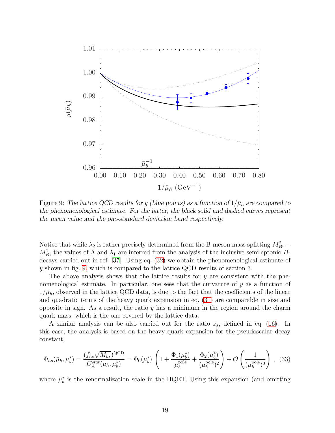

<span id="page-19-0"></span>Figure 9: The lattice QCD results for y (blue points) as a function of  $1/\bar{\mu}_h$  are compared to the phenomenological estimate. For the latter, the black solid and dashed curves represent the mean value and the one-standard deviation band respectively.

Notice that while  $\lambda_2$  is rather precisely determined from the B-meson mass splitting  $M_{B^*}^2$  –  $M_B^2$ , the values of  $\bar{\Lambda}$  and  $\lambda_1$  are inferred from the analysis of the inclusive semileptonic Bdecays carried out in ref. [\[37\]](#page-23-6). Using eq. [\(32\)](#page-18-0) we obtain the phenomenological estimate of y shown in fig. [9,](#page-19-0) which is compared to the lattice QCD results of section 3.

The above analysis shows that the lattice results for  $y$  are consistent with the phenomenological estimate. In particular, one sees that the curvature of  $y$  as a function of  $1/\bar{\mu}_h$ , observed in the lattice QCD data, is due to the fact that the coefficients of the linear and quadratic terms of the heavy quark expansion in eq. [\(31\)](#page-18-1) are comparable in size and opposite in sign. As a result, the ratio  $y$  has a minimum in the region around the charm quark mass, which is the one covered by the lattice data.

A similar analysis can be also carried out for the ratio  $z_s$ , defined in eq. [\(16\)](#page-7-3). In this case, the analysis is based on the heavy quark expansion for the pseudoscalar decay constant,

<span id="page-19-1"></span>
$$
\Phi_{hs}(\bar{\mu}_h, \mu_b^*) = \frac{(f_{hs}\sqrt{M_{hs}})^{\text{QCD}}}{C_A^{stat}(\bar{\mu}_h, \mu_b^*)} = \Phi_0(\mu_b^*) \left(1 + \frac{\Phi_1(\mu_b^*)}{\mu_h^{\text{pole}}} + \frac{\Phi_2(\mu_b^*)}{(\mu_h^{\text{pole}})^2}\right) + \mathcal{O}\left(\frac{1}{(\mu_h^{\text{pole}})^3}\right),
$$
(33)

where  $\mu_b^*$  is the renormalization scale in the HQET. Using this expansion (and omitting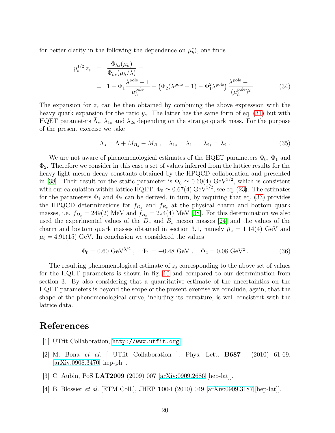for better clarity in the following the dependence on  $\mu_b^*$ , one finds

$$
y_s^{1/2} z_s = \frac{\Phi_{hs}(\bar{\mu}_h)}{\Phi_{hs}(\bar{\mu}_h/\lambda)} =
$$
  
=  $1 - \Phi_1 \frac{\lambda^{\text{pole}} - 1}{\mu_h^{\text{pole}}} - (\Phi_2(\lambda^{\text{pole}} + 1) - \Phi_1^2 \lambda^{\text{pole}}) \frac{\lambda^{\text{pole}} - 1}{(\mu_h^{\text{pole}})^2}.$  (34)

The expansion for  $z_s$  can be then obtained by combining the above expression with the heavy quark expansion for the ratio  $y_s$ . The latter has the same form of eq. [\(31\)](#page-18-1) but with HQET parameters  $\bar{\Lambda}_s$ ,  $\lambda_{1s}$  and  $\lambda_{2s}$  depending on the strange quark mass. For the purpose of the present exercise we take

$$
\bar{\Lambda}_s = \bar{\Lambda} + M_{B_s} - M_B , \quad \lambda_{1s} = \lambda_1 , \quad \lambda_{2s} = \lambda_2 . \tag{35}
$$

We are not aware of phenomenological estimates of the HQET parameters  $\Phi_0$ ,  $\Phi_1$  and  $\Phi_2$ . Therefore we consider in this case a set of values inferred from the lattice results for the heavy-light meson decay constants obtained by the HPQCD collaboration and presented in [\[38\]](#page-23-7). Their result for the static parameter is  $\Phi_0 \simeq 0.60(4) \text{ GeV}^{3/2}$ , which is consistent with our calculation within lattice HQET,  $\Phi_0 \simeq 0.67(4) \text{ GeV}^{3/2}$ , see eq. [\(23\)](#page-13-0). The estimates for the parameters  $\Phi_1$  and  $\Phi_2$  can be derived, in turn, by requiring that eq. [\(33\)](#page-19-1) provides the HPQCD determinations for  $f_{D_s}$  and  $f_{B_s}$  at the physical charm and bottom quark masses, i.e.  $f_{D_s} = 249(2)$  MeV and  $f_{B_s} = 224(4)$  MeV [\[38\]](#page-23-7). For this determination we also used the experimental values of the  $D_s$  and  $B_s$  meson masses [\[24\]](#page-22-8) and the values of the charm and bottom quark masses obtained in section 3.1, namely  $\bar{\mu}_c = 1.14(4)$  GeV and  $\bar{\mu}_b = 4.91(15)$  GeV. In conclusion we considered the values

$$
\Phi_0 = 0.60 \text{ GeV}^{3/2} , \quad \Phi_1 = -0.48 \text{ GeV} , \quad \Phi_2 = 0.08 \text{ GeV}^2 . \tag{36}
$$

The resulting phenomenological estimate of  $z<sub>s</sub>$  corresponding to the above set of values for the HQET parameters is shown in fig. [10](#page-21-7) and compared to our determination from section 3. By also considering that a quantitative estimate of the uncertainties on the HQET parameters is beyond the scope of the present exercise we conclude, again, that the shape of the phenomenological curve, including its curvature, is well consistent with the lattice data.

### <span id="page-20-0"></span>References

- <span id="page-20-1"></span>[1] UTfit Collaboration, <http://www.utfit.org>
- [2] M. Bona et al. [ UTfit Collaboration ], Phys. Lett. B687 (2010) 61-69. [\[arXiv:0908.3470](http://arxiv.org/abs/0908.3470) [hep-ph]].
- <span id="page-20-3"></span><span id="page-20-2"></span>[3] C. Aubin, PoS LAT2009 (2009) 007 [\[arXiv:0909.2686](http://arxiv.org/abs/0909.2686) [hep-lat]].
- [4] B. Blossier et al. [ETM Coll.], JHEP 1004 (2010) 049 [\[arXiv:0909.3187](http://arxiv.org/abs/0909.3187) [hep-lat]].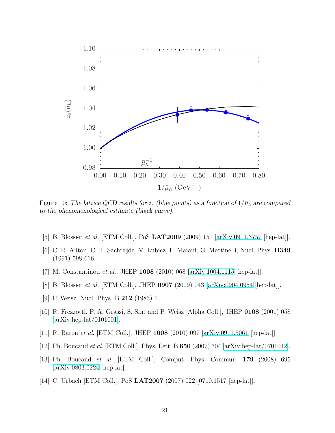

<span id="page-21-7"></span>Figure 10: The lattice QCD results for  $z_s$  (blue points) as a function of  $1/\bar{\mu}_h$  are compared to the phenomenological estimate (black curve).

- <span id="page-21-1"></span><span id="page-21-0"></span>[5] B. Blossier *et al.* [ETM Coll.], PoS **LAT2009** (2009) 151 [\[arXiv:0911.3757](http://arxiv.org/abs/0911.3757) [hep-lat]].
- <span id="page-21-2"></span>[6] C. R. Allton, C. T. Sachrajda, V. Lubicz, L. Maiani, G. Martinelli, Nucl. Phys. B349 (1991) 598-616.
- <span id="page-21-3"></span>[7] M. Constantinou et al., JHEP 1008 (2010) 068 [\[arXiv:1004.1115](http://arxiv.org/abs/1004.1115) [hep-lat]].
- <span id="page-21-4"></span>[8] B. Blossier et al. [ETM Coll.], JHEP 0907 (2009) 043 [\[arXiv:0904.0954](http://arxiv.org/abs/0904.0954) [hep-lat]].
- <span id="page-21-5"></span>[9] P. Weisz, Nucl. Phys. B 212 (1983) 1.
- [10] R. Frezzotti, P. A. Grassi, S. Sint and P. Weisz [Alpha Coll.], JHEP 0108 (2001) 058 [\[arXiv:hep-lat/0101001\]](http://arxiv.org/abs/hep-lat/0101001).
- <span id="page-21-6"></span>[11] R. Baron et al. [ETM Coll.], JHEP 1008 (2010) 097 [\[arXiv:0911.5061](http://arxiv.org/abs/0911.5061) [hep-lat]].
- [12] Ph. Boucaud et al. [ETM Coll.], Phys. Lett. B 650 (2007) 304 [\[arXiv:hep-lat/0701012\]](http://arxiv.org/abs/hep-lat/0701012).
- [13] Ph. Boucaud et al. [ETM Coll.], Comput. Phys. Commun. 179 (2008) 695 [\[arXiv:0803.0224](http://arxiv.org/abs/0803.0224) [hep-lat]].
- [14] C. Urbach [ETM Coll.], PoS LAT2007 (2007) 022 [0710.1517 [hep-lat]].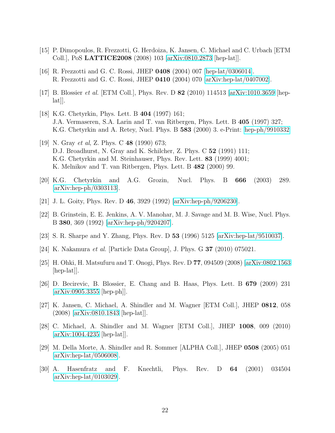- <span id="page-22-0"></span>[15] P. Dimopoulos, R. Frezzotti, G. Herdoiza, K. Jansen, C. Michael and C. Urbach [ETM Coll.], PoS LATTICE2008 (2008) 103 [\[arXiv:0810.2873](http://arxiv.org/abs/0810.2873) [hep-lat]].
- <span id="page-22-1"></span>[16] R. Frezzotti and G. C. Rossi, JHEP 0408 (2004) 007 [\[hep-lat/0306014\]](http://arxiv.org/abs/hep-lat/0306014). R. Frezzotti and G. C. Rossi, JHEP 0410 (2004) 070 [\[arXiv:hep-lat/0407002\]](http://arxiv.org/abs/hep-lat/0407002).
- <span id="page-22-2"></span>[17] B. Blossier et al. [ETM Coll.], Phys. Rev. D 82 (2010) 114513 [\[arXiv:1010.3659](http://arxiv.org/abs/1010.3659) [hep- $|a t|$ .
- [18] K.G. Chetyrkin, Phys. Lett. B 404 (1997) 161; J.A. Vermaseren, S.A. Larin and T. van Ritbergen, Phys. Lett. B 405 (1997) 327; K.G. Chetyrkin and A. Retey, Nucl. Phys. B 583 (2000) 3. e-Print: [hep-ph/9910332](http://arxiv.org/abs/hep-ph/9910332)
- <span id="page-22-3"></span>[19] N. Gray et al, Z. Phys. C 48 (1990) 673; D.J. Broadhurst, N. Gray and K. Schilcher, Z. Phys. C 52 (1991) 111; K.G. Chetyrkin and M. Steinhauser, Phys. Rev. Lett. 83 (1999) 4001; K. Melnikov and T. van Ritbergen, Phys. Lett. B 482 (2000) 99.
- <span id="page-22-5"></span><span id="page-22-4"></span>[20] K.G. Chetyrkin and A.G. Grozin, Nucl. Phys. B 666 (2003) 289. [\[arXiv:hep-ph/0303113\]](http://arxiv.org/abs/hep-ph/0303113).
- <span id="page-22-6"></span>[21] J. L. Goity, Phys. Rev. D 46, 3929 (1992) [\[arXiv:hep-ph/9206230\]](http://arxiv.org/abs/hep-ph/9206230).
- [22] B. Grinstein, E. E. Jenkins, A. V. Manohar, M. J. Savage and M. B. Wise, Nucl. Phys. B 380, 369 (1992) [\[arXiv:hep-ph/9204207\]](http://arxiv.org/abs/hep-ph/9204207).
- <span id="page-22-8"></span><span id="page-22-7"></span>[23] S. R. Sharpe and Y. Zhang, Phys. Rev. D 53 (1996) 5125 [\[arXiv:hep-lat/9510037\]](http://arxiv.org/abs/hep-lat/9510037).
- <span id="page-22-9"></span>[24] K. Nakamura et al. [Particle Data Group], J. Phys. G 37 (2010) 075021.
- [25] H. Ohki, H. Matsufuru and T. Onogi, Phys. Rev. D 77, 094509 (2008) [\[arXiv:0802.1563](http://arxiv.org/abs/0802.1563)  $\vert \text{hep-lat} \vert$ .
- <span id="page-22-10"></span>[26] D. Becirevic, B. Blossier, E. Chang and B. Haas, Phys. Lett. B 679 (2009) 231 [\[arXiv:0905.3355](http://arxiv.org/abs/0905.3355) [hep-ph]].
- <span id="page-22-11"></span>[27] K. Jansen, C. Michael, A. Shindler and M. Wagner [ETM Coll.], JHEP 0812, 058 (2008) [\[arXiv:0810.1843](http://arxiv.org/abs/0810.1843) [hep-lat]].
- <span id="page-22-12"></span>[28] C. Michael, A. Shindler and M. Wagner [ETM Coll.], JHEP 1008, 009 (2010) [\[arXiv:1004.4235](http://arxiv.org/abs/1004.4235) [hep-lat]].
- <span id="page-22-13"></span>[29] M. Della Morte, A. Shindler and R. Sommer [ALPHA Coll.], JHEP 0508 (2005) 051 [\[arXiv:hep-lat/0506008\]](http://arxiv.org/abs/hep-lat/0506008).
- <span id="page-22-14"></span>[30] A. Hasenfratz and F. Knechtli, Phys. Rev. D 64 (2001) 034504 [\[arXiv:hep-lat/0103029\]](http://arxiv.org/abs/hep-lat/0103029).